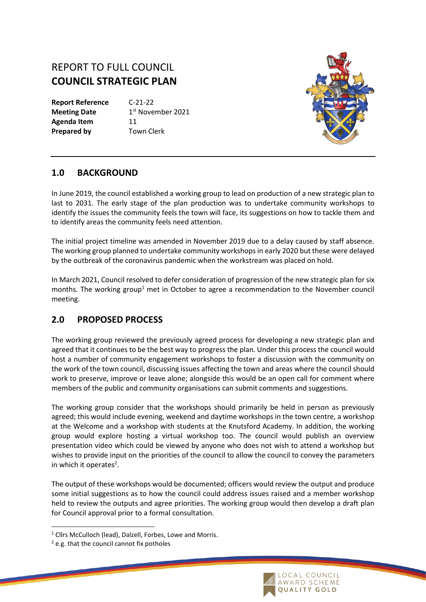## REPORT TO FULL COUNCIL **COUNCIL STRATEGIC PLAN**

**Report Reference** C-21-22 **Meeting Date** Agenda Item 11 **Prepared by Town Clerk** 

1<sup>st</sup> November 2021



## **1.0 BACKGROUND**

In June 2019, the council established a working group to lead on production of a new strategic plan to last to 2031. The early stage of the plan production was to undertake community workshops to identify the issues the community feels the town will face, its suggestions on how to tackle them and to identify areas the community feels need attention.

The initial project timeline was amended in November 2019 due to a delay caused by staff absence. The working group planned to undertake community workshops in early 2020 but these were delayed by the outbreak of the coronavirus pandemic when the workstream was placed on hold.

In March 2021, Council resolved to defer consideration of progression of the new strategic plan for six months. The working group<sup>1</sup> met in October to agree a recommendation to the November council meeting.

## **2.0 PROPOSED PROCESS**

The working group reviewed the previously agreed process for developing a new strategic plan and agreed that it continues to be the best way to progress the plan. Under this process the council would host a number of community engagement workshops to foster a discussion with the community on the work of the town council, discussing issues affecting the town and areas where the council should work to preserve, improve or leave alone; alongside this would be an open call for comment where members of the public and community organisations can submit comments and suggestions.

The working group consider that the workshops should primarily be held in person as previously agreed; this would include evening, weekend and daytime workshops in the town centre, a workshop at the Welcome and a workshop with students at the Knutsford Academy. In addition, the working group would explore hosting a virtual workshop too. The council would publish an overview presentation video which could be viewed by anyone who does not wish to attend a workshop but wishes to provide input on the priorities of the council to allow the council to convey the parameters in which it operates<sup>2</sup>.

The output of these workshops would be documented; officers would review the output and produce some initial suggestions as to how the council could address issues raised and a member workshop held to review the outputs and agree priorities. The working group would then develop a draft plan for Council approval prior to a formal consultation.



<sup>&</sup>lt;sup>1</sup> Cllrs McCulloch (lead), Dalzell, Forbes, Lowe and Morris.

 $2$  e.g. that the council cannot fix potholes